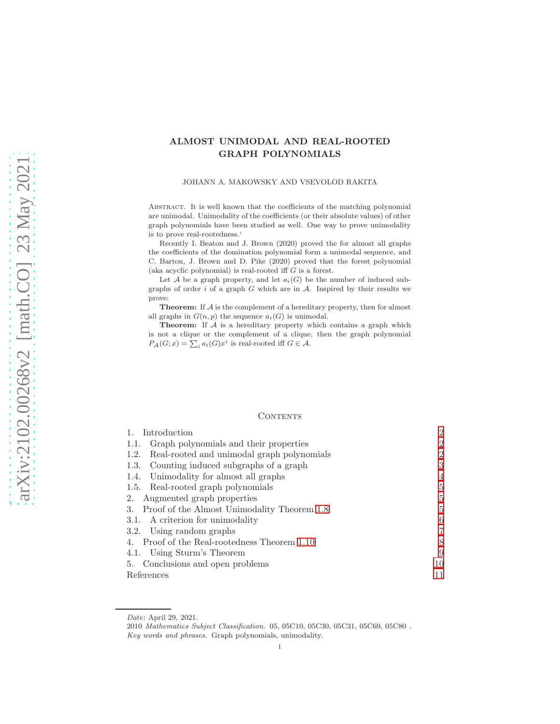# ALMOST UNIMODAL AND REAL-ROOTED GRAPH POLYNOMIALS

### JOHANN A. MAKOWSKY AND VSEVOLOD RAKITA

Abstract. It is well known that the coefficients of the matching polynomial are unimodal. Unimodality of the coefficients (or their absolute values) of other graph polynomials have been studied as well. One way to prove unimodality is to prove real-rootedness.'

Recently I. Beaton and J. Brown (2020) proved the for almost all graphs the coefficients of the domination polynomial form a unimodal sequence, and C. Barton, J. Brown and D. Pike (2020) proved that the forest polynomial (aka acyclic polynomial) is real-rooted iff  $G$  is a forest.

Let A be a graph property, and let  $a_i(G)$  be the number of induced subgraphs of order  $i$  of a graph  $G$  which are in  $A$ . Inspired by their results we prove:

Theorem: If A is the complement of a hereditary property, then for almost all graphs in  $G(n, p)$  the sequence  $a_i(G)$  is unimodal.

Theorem: If  $A$  is a hereditary property which contains a graph which is not a clique or the complement of a clique, then the graph polynomial  $P_{\mathcal{A}}(G; x) = \sum_{i} a_i(G) x^i$  is real-rooted iff  $G \in \mathcal{A}$ .

### CONTENTS

| Introduction                                       | $\overline{2}$ |
|----------------------------------------------------|----------------|
| 1.1. Graph polynomials and their properties        | $\overline{2}$ |
| Real-rooted and unimodal graph polynomials<br>1.2. | $\overline{2}$ |
| 1.3. Counting induced subgraphs of a graph         | 3              |
| 1.4. Unimodality for almost all graphs             | $\overline{4}$ |
| 1.5. Real-rooted graph polynomials                 | 5              |
| Augmented graph properties<br>2.                   | 5              |
| Proof of the Almost Unimodality Theorem 1.8<br>3.  | 5              |
| 3.1. A criterion for unimodality                   | 6              |
| 3.2. Using random graphs                           | 7              |
| 4. Proof of the Real-rootedness Theorem 1.10       | 8              |
| 4.1. Using Sturm's Theorem                         | 9              |
| 5. Conclusions and open problems                   | 10             |
| References                                         | 11             |

Date: April 29, 2021.

<sup>2010</sup> Mathematics Subject Classification. 05, 05C10, 05C30, 05C31, 05C69, 05C80 . Key words and phrases. Graph polynomials, unimodality.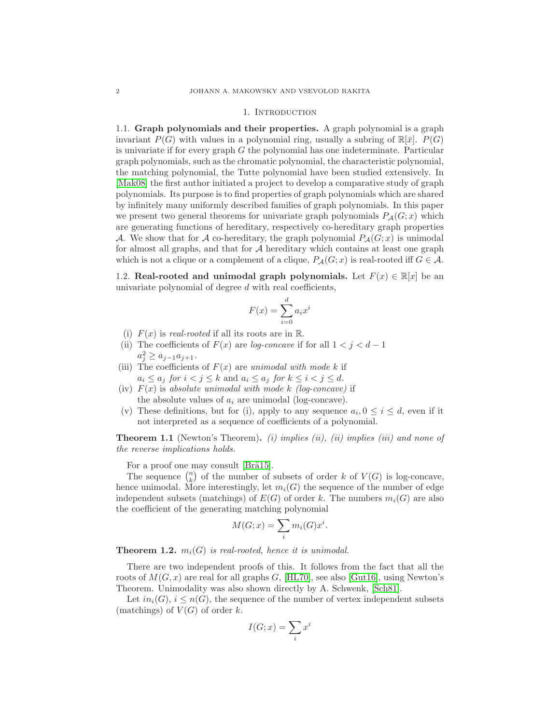#### 1. INTRODUCTION

<span id="page-1-1"></span><span id="page-1-0"></span>1.1. Graph polynomials and their properties. A graph polynomial is a graph invariant  $P(G)$  with values in a polynomial ring, usually a subring of  $\mathbb{R}[\bar{x}]$ .  $P(G)$ is univariate if for every graph  $G$  the polynomial has one indeterminate. Particular graph polynomials, such as the chromatic polynomial, the characteristic polynomial, the matching polynomial, the Tutte polynomial have been studied extensively. In [\[Mak08\]](#page-10-1) the first author initiated a project to develop a comparative study of graph polynomials. Its purpose is to find properties of graph polynomials which are shared by infinitely many uniformly described families of graph polynomials. In this paper we present two general theorems for univariate graph polynomials  $P_{\mathcal{A}}(G; x)$  which are generating functions of hereditary, respectively co-hereditary graph properties A. We show that for A co-hereditary, the graph polynomial  $P_{\mathcal{A}}(G; x)$  is unimodal for almost all graphs, and that for  $A$  hereditary which contains at least one graph which is not a clique or a complement of a clique,  $P_{\mathcal{A}}(G; x)$  is real-rooted iff  $G \in \mathcal{A}$ .

<span id="page-1-2"></span>1.2. Real-rooted and unimodal graph polynomials. Let  $F(x) \in \mathbb{R}[x]$  be an univariate polynomial of degree  $d$  with real coefficients,

$$
F(x) = \sum_{i=0}^{d} a_i x^i
$$

- (i)  $F(x)$  is real-rooted if all its roots are in R.
- (ii) The coefficients of  $F(x)$  are log-concave if for all  $1 < j < d-1$  $a_j^2 \ge a_{j-1}a_{j+1}.$
- (iii) The coefficients of  $F(x)$  are unimodal with mode k if  $a_i \leq a_j$  for  $i < j \leq k$  and  $a_i \leq a_j$  for  $k \leq i < j \leq d$ .
- (iv)  $F(x)$  is absolute unimodal with mode k (log-concave) if the absolute values of  $a_i$  are unimodal (log-concave).
- (v) These definitions, but for (i), apply to any sequence  $a_i, 0 \leq i \leq d$ , even if it not interpreted as a sequence of coefficients of a polynomial.

**Theorem 1.1** (Newton's Theorem). (i) implies (ii), (ii) implies (iii) and none of the reverse implications holds.

For a proof one may consult [Brä15].

The sequence  $\binom{n}{k}$  of the number of subsets of order k of  $V(G)$  is log-concave, hence unimodal. More interestingly, let  $m<sub>i</sub>(G)$  the sequence of the number of edge independent subsets (matchings) of  $E(G)$  of order k. The numbers  $m_i(G)$  are also the coefficient of the generating matching polynomial

$$
M(G; x) = \sum_{i} m_i(G) x^i.
$$

**Theorem 1.2.**  $m_i(G)$  is real-rooted, hence it is unimodal.

There are two independent proofs of this. It follows from the fact that all the roots of  $M(G, x)$  are real for all graphs G, [\[HL70\]](#page-10-3), see also [\[Gut16\]](#page-10-4), using Newton's Theorem. Unimodality was also shown directly by A. Schwenk, [\[Sch81\]](#page-10-5).

Let  $in_i(G)$ ,  $i \leq n(G)$ , the sequence of the number of vertex independent subsets (matchings) of  $V(G)$  of order k.

$$
I(G; x) = \sum_{i} x^{i}
$$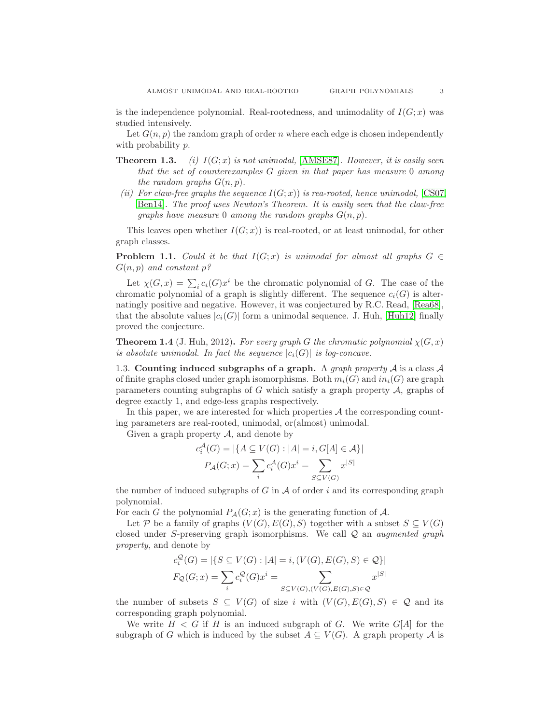is the independence polynomial. Real-rootedness, and unimodality of  $I(G; x)$  was studied intensively.

Let  $G(n, p)$  the random graph of order n where each edge is chosen independently with probability  $p$ .

- **Theorem 1.3.** (i)  $I(G; x)$  is not unimodal, [\[AMSE87\]](#page-10-6). However, it is easily seen that the set of counterexamples G given in that paper has measure 0 among the random graphs  $G(n, p)$ .
- (ii) For claw-free graphs the sequence  $I(G; x)$  is rea-rooted, hence unimodal, [\[CS07,](#page-10-7) [Ben14\]](#page-10-8). The proof uses Newton's Theorem. It is easily seen that the claw-free graphs have measure 0 among the random graphs  $G(n, p)$ .

This leaves open whether  $I(G; x)$  is real-rooted, or at least unimodal, for other graph classes.

**Problem 1.1.** Could it be that  $I(G; x)$  is unimodal for almost all graphs  $G \in$  $G(n, p)$  and constant  $p$ ?

Let  $\chi(G, x) = \sum_i c_i(G) x^i$  be the chromatic polynomial of G. The case of the chromatic polynomial of a graph is slightly different. The sequence  $c_i(G)$  is alternatingly positive and negative. However, it was conjectured by R.C. Read, [\[Rea68\]](#page-10-9), that the absolute values  $|c_i(G)|$  form a unimodal sequence. J. Huh, [\[Huh12\]](#page-10-10) finally proved the conjecture.

**Theorem 1.4** (J. Huh, 2012). For every graph G the chromatic polynomial  $\chi(G, x)$ is absolute unimodal. In fact the sequence  $|c_i(G)|$  is log-concave.

<span id="page-2-0"></span>1.3. Counting induced subgraphs of a graph. A *graph property*  $A$  is a class  $A$ of finite graphs closed under graph isomorphisms. Both  $m_i(G)$  and  $in_i(G)$  are graph parameters counting subgraphs of G which satisfy a graph property  $A$ , graphs of degree exactly 1, and edge-less graphs respectively.

In this paper, we are interested for which properties  $A$  the corresponding counting parameters are real-rooted, unimodal, or(almost) unimodal.

Given a graph property  $A$ , and denote by

$$
c_i^{\mathcal{A}}(G) = |\{ A \subseteq V(G) : |A| = i, G[A] \in \mathcal{A} \}|
$$

$$
P_{\mathcal{A}}(G; x) = \sum_i c_i^{\mathcal{A}}(G) x^i = \sum_{S \subseteq V(G)} x^{|S|}
$$

the number of induced subgraphs of  $G$  in  $A$  of order i and its corresponding graph polynomial.

For each G the polynomial  $P_{\mathcal{A}}(G; x)$  is the generating function of A.

Let P be a family of graphs  $(V(G), E(G), S)$  together with a subset  $S \subseteq V(G)$ closed under S-preserving graph isomorphisms. We call  $\mathcal Q$  an *augmented graph* property, and denote by

$$
c_i^{\mathcal{Q}}(G) = |\{ S \subseteq V(G) : |A| = i, (V(G), E(G), S) \in \mathcal{Q} \}|
$$
  

$$
F_{\mathcal{Q}}(G; x) = \sum_{i} c_i^{\mathcal{Q}}(G) x^i = \sum_{S \subseteq V(G), (V(G), E(G), S) \in \mathcal{Q}} x^{|S|}
$$

the number of subsets  $S \subseteq V(G)$  of size i with  $(V(G), E(G), S) \in \mathcal{Q}$  and its corresponding graph polynomial.

We write  $H < G$  if H is an induced subgraph of G. We write  $G[A]$  for the subgraph of G which is induced by the subset  $A \subseteq V(G)$ . A graph property A is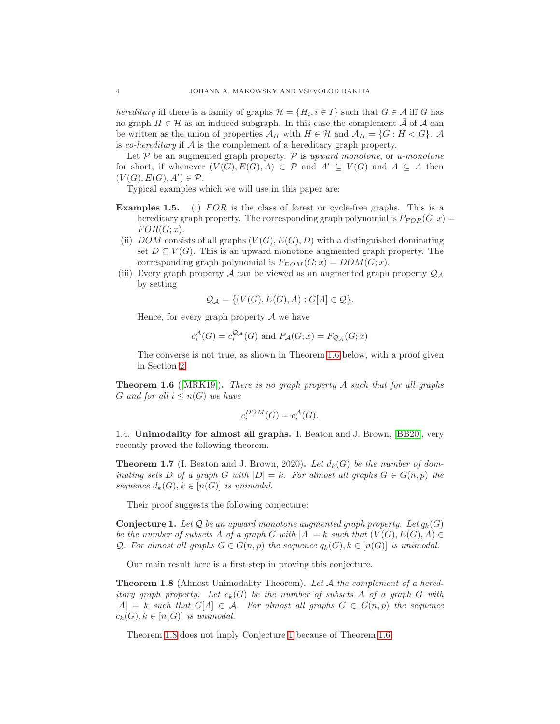hereditary iff there is a family of graphs  $\mathcal{H} = \{H_i, i \in I\}$  such that  $G \in \mathcal{A}$  iff G has no graph  $H \in \mathcal{H}$  as an induced subgraph. In this case the complement  $\overline{\mathcal{A}}$  of  $\mathcal{A}$  can be written as the union of properties  $\mathcal{A}_H$  with  $H \in \mathcal{H}$  and  $\mathcal{A}_H = \{G : H < G\}$ . A is *co-hereditary* if  $A$  is the complement of a hereditary graph property.

Let  $P$  be an augmented graph property.  $P$  is upward monotone, or u-monotone for short, if whenever  $(V(G), E(G), A) \in \mathcal{P}$  and  $A' \subseteq V(G)$  and  $A \subseteq A$  then  $(V(G), E(G), A') \in \mathcal{P}.$ 

Typical examples which we will use in this paper are:

- **Examples 1.5.** (i)  $FOR$  is the class of forest or cycle-free graphs. This is a hereditary graph property. The corresponding graph polynomial is  $P_{FOR}(G; x) =$  $FOR(G; x)$ .
- (ii) DOM consists of all graphs  $(V(G), E(G), D)$  with a distinguished dominating set  $D \subseteq V(G)$ . This is an upward monotone augmented graph property. The corresponding graph polynomial is  $F_{DOM}(G; x) = DOM(G; x)$ .
- (iii) Every graph property A can be viewed as an augmented graph property  $\mathcal{Q}_A$ by setting

$$
\mathcal{Q}_{\mathcal{A}} = \{ (V(G), E(G), A) : G[A] \in \mathcal{Q} \}.
$$

Hence, for every graph property  $A$  we have

$$
c_i^{\mathcal{A}}(G) = c_i^{\mathcal{Q}_{\mathcal{A}}}(G)
$$
 and  $P_{\mathcal{A}}(G; x) = F_{\mathcal{Q}_{\mathcal{A}}}(G; x)$ 

The converse is not true, as shown in Theorem [1.6](#page-3-2) below, with a proof given in Section [2.](#page-4-1)

<span id="page-3-2"></span>**Theorem 1.6** ([\[MRK19\]](#page-10-11)). There is no graph property  $A$  such that for all graphs G and for all  $i \leq n(G)$  we have

$$
c_i^{DOM}(G) = c_i^{\mathcal{A}}(G).
$$

<span id="page-3-0"></span>1.4. Unimodality for almost all graphs. I. Beaton and J. Brown, [\[BB20\]](#page-10-12), very recently proved the following theorem.

**Theorem 1.7** (I. Beaton and J. Brown, 2020). Let  $d_k(G)$  be the number of dominating sets D of a graph G with  $|D| = k$ . For almost all graphs  $G \in G(n, p)$  the sequence  $d_k(G), k \in [n(G)]$  is unimodal.

Their proof suggests the following conjecture:

<span id="page-3-3"></span>**Conjecture 1.** Let Q be an upward monotone augmented graph property. Let  $q_k(G)$ be the number of subsets A of a graph G with  $|A| = k$  such that  $(V(G), E(G), A) \in$ Q. For almost all graphs  $G \in G(n, p)$  the sequence  $q_k(G), k \in [n(G)]$  is unimodal.

Our main result here is a first step in proving this conjecture.

<span id="page-3-1"></span>**Theorem 1.8** (Almost Unimodality Theorem). Let A the complement of a hereditary graph property. Let  $c_k(G)$  be the number of subsets A of a graph G with  $|A| = k$  such that  $G[A] \in \mathcal{A}$ . For almost all graphs  $G \in G(n, p)$  the sequence  $c_k(G), k \in [n(G)]$  is unimodal.

Theorem [1.8](#page-3-1) does not imply Conjecture [1](#page-3-3) because of Theorem [1.6.](#page-3-2)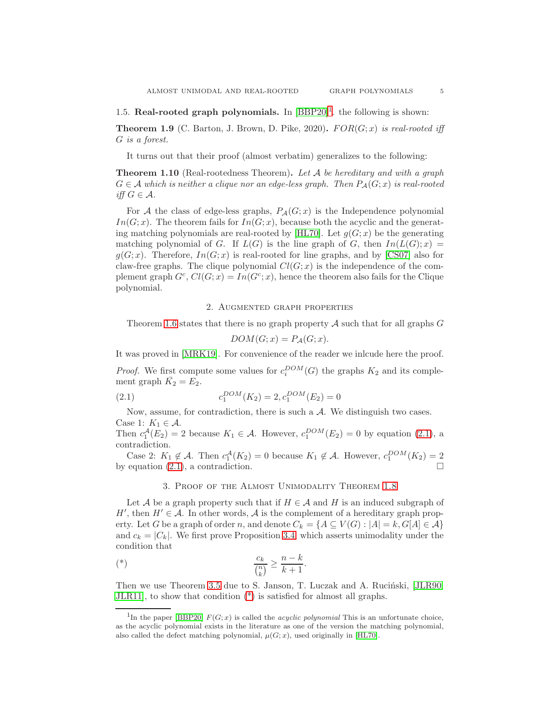# <span id="page-4-0"></span>[1](#page-4-4).5. Real-rooted graph polynomials. In  $[BBP20]$ <sup>1</sup>. the following is shown:

**Theorem 1.9** (C. Barton, J. Brown, D. Pike, 2020).  $FOR(G; x)$  is real-rooted iff G is a forest.

It turns out that their proof (almost verbatim) generalizes to the following:

<span id="page-4-3"></span>**Theorem 1.10** (Real-rootedness Theorem). Let A be hereditary and with a graph  $G \in \mathcal{A}$  which is neither a clique nor an edge-less graph. Then  $P_{\mathcal{A}}(G; x)$  is real-rooted iff  $G \in \mathcal{A}$ .

For A the class of edge-less graphs,  $P_{\mathcal{A}}(G; x)$  is the Independence polynomial  $In(G; x)$ . The theorem fails for  $In(G; x)$ , because both the acyclic and the generat-ing matching polynomials are real-rooted by [\[HL70\]](#page-10-3). Let  $q(G; x)$  be the generating matching polynomial of G. If  $L(G)$  is the line graph of G, then  $In(L(G); x) =$  $g(G; x)$ . Therefore,  $In(G; x)$  is real-rooted for line graphs, and by [\[CS07\]](#page-10-7) also for claw-free graphs. The clique polynomial  $Cl(G; x)$  is the independence of the complement graph  $G^c$ ,  $Cl(G; x) = In(G^c; x)$ , hence the theorem also fails for the Clique polynomial.

## 2. Augmented graph properties

<span id="page-4-1"></span>Theorem [1.6](#page-3-2) states that there is no graph property  $A$  such that for all graphs  $G$ 

$$
DOM(G; x) = P_{\mathcal{A}}(G; x).
$$

It was proved in [\[MRK19\]](#page-10-11). For convenience of the reader we inlcude here the proof.

*Proof.* We first compute some values for  $c_i^{DOM}(G)$  the graphs  $K_2$  and its complement graph  $\bar{K_2} = E_2$ .

<span id="page-4-5"></span>(2.1) 
$$
c_1^{DOM}(K_2) = 2, c_1^{DOM}(E_2) = 0
$$

Now, assume, for contradiction, there is such a  $A$ . We distinguish two cases. Case 1:  $K_1 \in \mathcal{A}$ .

Then  $c_1^{\mathcal{A}}(E_2) = 2$  because  $K_1 \in \mathcal{A}$ . However,  $c_1^{DOM}(E_2) = 0$  by equation [\(2.1\)](#page-4-5), a contradiction.

<span id="page-4-2"></span>Case 2:  $K_1 \notin \mathcal{A}$ . Then  $c_1^{\mathcal{A}}(K_2) = 0$  because  $K_1 \notin \mathcal{A}$ . However,  $c_1^{DOM}(K_2) = 2$ by equation  $(2.1)$ , a contradiction.

## 3. Proof of the Almost Unimodality Theorem [1.8](#page-3-1)

Let A be a graph property such that if  $H \in \mathcal{A}$  and H is an induced subgraph of H', then  $H' \in \mathcal{A}$ . In other words,  $\mathcal{A}$  is the complement of a hereditary graph property. Let G be a graph of order n, and denote  $C_k = \{A \subseteq V(G) : |A| = k, G[A] \in \mathcal{A}\}\$ and  $c_k = |C_k|$ . We first prove Proposition [3.4,](#page-6-1) which asserts unimodality under the condition that

<span id="page-4-6"></span>
$$
\binom{*}{k} \qquad \qquad \frac{c_k}{\binom{n}{k}} \ge \frac{n-k}{k+1}.
$$

Then we use Theorem [3.5](#page-6-2) due to S. Janson, T. Luczak and A. Rucinski, [\[JLR90,](#page-10-14) [JLR11\]](#page-10-15), to show that condition [\(\\*\)](#page-4-6) is satisfied for almost all graphs.

<span id="page-4-4"></span><sup>&</sup>lt;sup>1</sup>In the paper [\[BBP20\]](#page-10-13)  $F(G; x)$  is called the *acyclic polynomial* This is an unfortunate choice, as the acyclic polynomial exists in the literature as one of the version the matching polynomial, also called the defect matching polynomial,  $\mu(G; x)$ , used originally in [\[HL70\]](#page-10-3).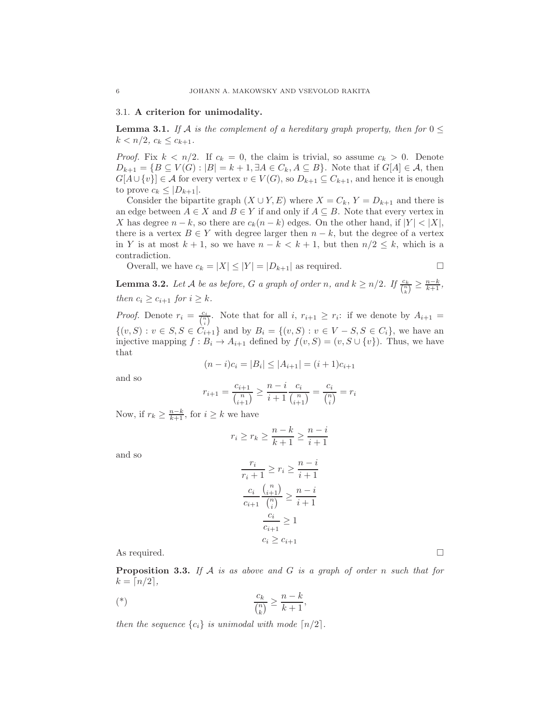### <span id="page-5-0"></span>3.1. A criterion for unimodality.

<span id="page-5-1"></span>**Lemma 3.1.** If A is the complement of a hereditary graph property, then for  $0 \leq$  $k < n/2, c_k \leq c_{k+1}.$ 

*Proof.* Fix  $k < n/2$ . If  $c_k = 0$ , the claim is trivial, so assume  $c_k > 0$ . Denote  $D_{k+1} = \{B \subseteq V(G) : |B| = k+1, \exists A \in C_k, A \subseteq B\}.$  Note that if  $G[A] \in \mathcal{A}$ , then  $G[A\cup \{v\}] \in \mathcal{A}$  for every vertex  $v \in V(G)$ , so  $D_{k+1} \subseteq C_{k+1}$ , and hence it is enough to prove  $c_k \leq |D_{k+1}|$ .

Consider the bipartite graph  $(X \cup Y, E)$  where  $X = C_k$ ,  $Y = D_{k+1}$  and there is an edge between  $A \in X$  and  $B \in Y$  if and only if  $A \subseteq B$ . Note that every vertex in X has degree  $n - k$ , so there are  $c_k(n - k)$  edges. On the other hand, if  $|Y| < |X|$ , there is a vertex  $B \in Y$  with degree larger then  $n - k$ , but the degree of a vertex in Y is at most  $k + 1$ , so we have  $n - k < k + 1$ , but then  $n/2 \leq k$ , which is a contradiction.

Overall, we have  $c_k = |X| \leq |Y| = |D_{k+1}|$  as required.

$$
\Box
$$

<span id="page-5-2"></span>**Lemma 3.2.** Let A be as before, G a graph of order n, and  $k \ge n/2$ . If  $\frac{c_k}{\binom{n}{k}} \ge \frac{n-k}{k+1}$ , then  $c_i \geq c_{i+1}$  for  $i \geq k$ .

*Proof.* Denote  $r_i = \frac{c_i}{\binom{n}{i}}$ . Note that for all i,  $r_{i+1} \geq r_i$ : if we denote by  $A_{i+1} =$  $\{(v, S) : v \in S, S \in C_{i+1}\}\$ and by  $B_i = \{(v, S) : v \in V - S, S \in C_i\}$ , we have an injective mapping  $f : B_i \to A_{i+1}$  defined by  $f(v, S) = (v, S \cup \{v\})$ . Thus, we have that

$$
(n-i)c_i = |B_i| \le |A_{i+1}| = (i+1)c_{i+1}
$$

and so

$$
r_{i+1} = \frac{c_{i+1}}{\binom{n}{i+1}} \ge \frac{n-i}{i+1} \frac{c_i}{\binom{n}{i+1}} = \frac{c_i}{\binom{n}{i}} = r_i
$$

Now, if  $r_k \geq \frac{n-k}{k+1}$ , for  $i \geq k$  we have

$$
r_i \ge r_k \ge \frac{n-k}{k+1} \ge \frac{n-i}{i+1}
$$

and so

$$
\frac{r_i}{r_i+1} \ge r_i \ge \frac{n-i}{i+1}
$$

$$
\frac{c_i}{c_{i+1}} \frac{\binom{n}{i+1}}{\binom{n}{i}} \ge \frac{n-i}{i+1}
$$

$$
\frac{c_i}{c_{i+1}} \ge 1
$$

$$
c_i \ge c_{i+1}
$$

As required.  $\square$ 

**Proposition 3.3.** If  $A$  is as above and  $G$  is a graph of order n such that for  $k = \lceil n/2 \rceil$ ,

$$
k \choose k} \qquad \qquad \frac{c_k}{\binom{n}{k}} \ge \frac{n-k}{k+1},
$$

then the sequence  ${c_i}$  is unimodal with mode  $\lceil n/2 \rceil$ .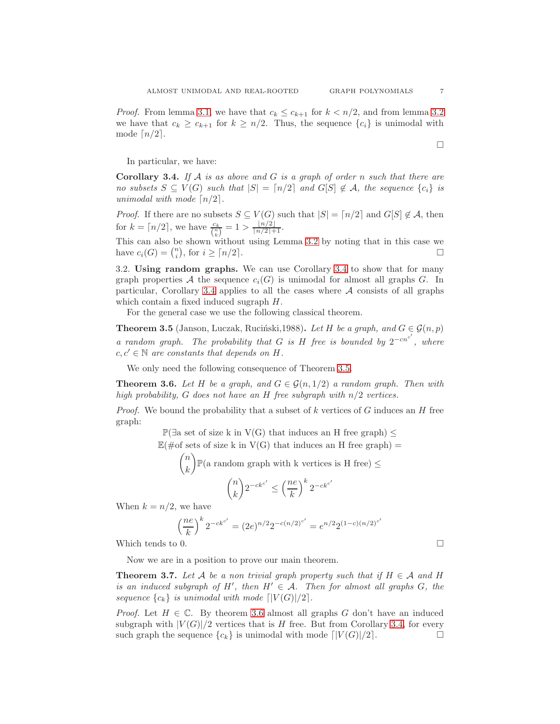*Proof.* From lemma [3.1,](#page-5-1) we have that  $c_k \leq c_{k+1}$  for  $k < n/2$ , and from lemma [3.2](#page-5-2) we have that  $c_k \geq c_{k+1}$  for  $k \geq n/2$ . Thus, the sequence  $\{c_i\}$  is unimodal with mode  $\lceil n/2 \rceil$ .

In particular, we have:

<span id="page-6-1"></span>**Corollary 3.4.** If A is as above and G is a graph of order n such that there are no subsets  $S \subseteq V(G)$  such that  $|S| = \lceil n/2 \rceil$  and  $G[S] \notin \mathcal{A}$ , the sequence  $\{c_i\}$  is unimodal with mode  $\lceil n/2 \rceil$ .

*Proof.* If there are no subsets  $S \subseteq V(G)$  such that  $|S| = \lceil n/2 \rceil$  and  $G[S] \notin \mathcal{A}$ , then for  $k = \lceil n/2 \rceil$ , we have  $\frac{c_k}{\binom{n}{k}} = 1 > \frac{\lfloor n/2 \rfloor}{\lceil n/2 \rceil + 1}$ .

This can also be shown without using Lemma [3.2](#page-5-2) by noting that in this case we have  $c_i(G) = \binom{n}{i}$ , for  $i \geq \lceil n/2 \rceil$ .

<span id="page-6-0"></span>3.2. Using random graphs. We can use Corollary [3.4](#page-6-1) to show that for many graph properties A the sequence  $c_i(G)$  is unimodal for almost all graphs G. In particular, Corollary [3.4](#page-6-1) applies to all the cases where  $A$  consists of all graphs which contain a fixed induced sugraph H.

For the general case we use the following classical theorem.

<span id="page-6-2"></span>**Theorem 3.5** (Janson, Luczak, Ruciński,1988). Let H be a graph, and  $G \in \mathcal{G}(n, p)$ a random graph. The probability that G is H free is bounded by  $2^{-cn^{c'}}$ , where  $c, c' \in \mathbb{N}$  are constants that depends on H.

We only need the following consequence of Theorem [3.5.](#page-6-2)

<span id="page-6-3"></span>**Theorem 3.6.** Let H be a graph, and  $G \in \mathcal{G}(n, 1/2)$  a random graph. Then with high probability, G does not have an H free subgraph with  $n/2$  vertices.

*Proof.* We bound the probability that a subset of k vertices of G induces an H free graph:

 $\mathbb{P}(\exists a \text{ set of size } k \text{ in } V(G) \text{ that induces an H free graph})$  ≤

 $\mathbb{E}(\text{#of sets of size k in V(G) that induces an H free graph}) =$ 

$$
\binom{n}{k} \mathbb{P}(\text{a random graph with k vertices is H free}) \le
$$
\n
$$
\binom{n}{k} 2^{-ck^{c'}} \le \left(\frac{ne}{k}\right)^k 2^{-ck^{c'}}
$$
\nNow, we have

When  $k = n/2$ , we have

$$
\left(\frac{ne}{k}\right)^k 2^{-ck^{c'}} = (2e)^{n/2} 2^{-c(n/2)^{c'}} = e^{n/2} 2^{(1-c)(n/2)^{c'}}
$$

Which tends to 0.  $\Box$ 

Now we are in a position to prove our main theorem.

<span id="page-6-4"></span>**Theorem 3.7.** Let A be a non trivial graph property such that if  $H \in \mathcal{A}$  and H is an induced subgraph of H', then  $H' \in \mathcal{A}$ . Then for almost all graphs G, the sequence  ${c_k}$  is unimodal with mode  $\lceil |V(G)|/2 \rceil$ .

*Proof.* Let  $H \in \mathbb{C}$ . By theorem [3.6](#page-6-3) almost all graphs G don't have an induced subgraph with  $|V(G)|/2$  vertices that is H free. But from Corollary [3.4,](#page-6-1) for every such graph the sequence  ${c_k}$  is unimodal with mode  $\lceil |V(G)|/2 \rceil$ .

 $\Box$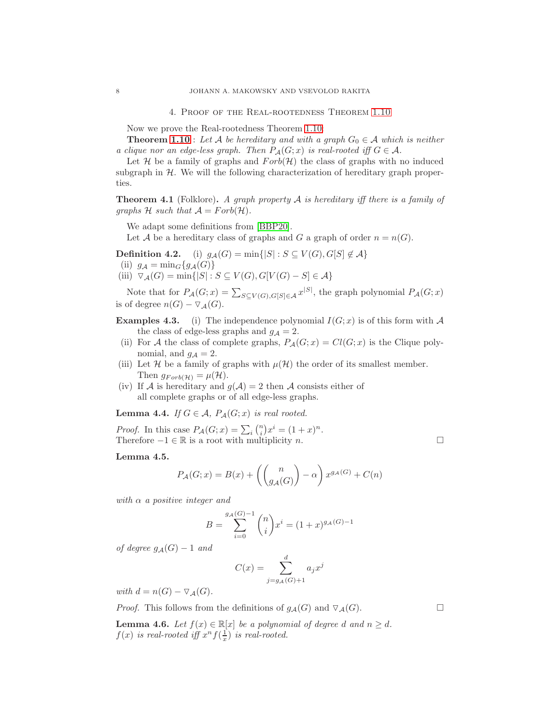4. Proof of the Real-rootedness Theorem [1.10](#page-4-3)

<span id="page-7-0"></span>Now we prove the Real-rootedness Theorem [1.10:](#page-4-3)

**Theorem [1.10](#page-4-3)** : Let A be hereditary and with a graph  $G_0 \in \mathcal{A}$  which is neither a clique nor an edge-less graph. Then  $P_{\mathcal{A}}(G; x)$  is real-rooted iff  $G \in \mathcal{A}$ .

Let  $H$  be a family of graphs and  $Forb(H)$  the class of graphs with no induced subgraph in  $H$ . We will the following characterization of hereditary graph properties.

**Theorem 4.1** (Folklore). A graph property  $A$  is hereditary iff there is a family of graphs H such that  $A = Forb(\mathcal{H})$ .

We adapt some definitions from [\[BBP20\]](#page-10-13).

Let A be a hereditary class of graphs and G a graph of order  $n = n(G)$ .

**Definition 4.2.** (i)  $g_{\mathcal{A}}(G) = \min\{|S| : S \subseteq V(G), G[S] \notin \mathcal{A}\}\$ (ii)  $g_{\mathcal{A}} = \min_{G} \{ g_{\mathcal{A}}(G) \}$ (iii)  $\nabla_{\mathcal{A}}(G) = \min\{|S| : S \subseteq V(G), G[V(G) - S] \in \mathcal{A}\}\$ 

Note that for  $P_{\mathcal{A}}(G; x) = \sum_{S \subseteq V(G), G[S] \in \mathcal{A}} x^{|S|}$ , the graph polynomial  $P_{\mathcal{A}}(G; x)$ is of degree  $n(G) - \nabla_{\mathcal{A}}(G)$ .

**Examples 4.3.** (i) The independence polynomial  $I(G; x)$  is of this form with A the class of edge-less graphs and  $g_A = 2$ .

- (ii) For A the class of complete graphs,  $P_{\mathcal{A}}(G; x) = Cl(G; x)$  is the Clique polynomial, and  $g_{\mathcal{A}} = 2$ .
- (iii) Let H be a family of graphs with  $\mu(\mathcal{H})$  the order of its smallest member. Then  $g_{Forb(H)} = \mu(H)$ .
- (iv) If A is hereditary and  $g(A) = 2$  then A consists either of all complete graphs or of all edge-less graphs.

**Lemma 4.4.** If  $G \in \mathcal{A}$ ,  $P_{\mathcal{A}}(G; x)$  is real rooted.

*Proof.* In this case  $P_{\mathcal{A}}(G; x) = \sum_i {n \choose i} x^i = (1+x)^n$ . Therefore  $-1 \in \mathbb{R}$  is a root with multiplicity n.

Lemma 4.5.

$$
P_{\mathcal{A}}(G; x) = B(x) + \left( \binom{n}{g_{\mathcal{A}}(G)} - \alpha \right) x^{g_{\mathcal{A}}(G)} + C(n)
$$

with  $\alpha$  a positive integer and

$$
B = \sum_{i=0}^{g_{\mathcal{A}}(G)-1} \binom{n}{i} x^i = (1+x)^{g_{\mathcal{A}}(G)-1}
$$

of degree  $g_{\mathcal{A}}(G) - 1$  and

$$
C(x) = \sum_{j=g_{\mathcal{A}}(G)+1}^{d} a_j x^j
$$

with  $d = n(G) - \nabla_{\mathcal{A}}(G)$ .

*Proof.* This follows from the definitions of  $g_{\mathcal{A}}(G)$  and  $\nabla_{\mathcal{A}}(G)$ .

**Lemma 4.6.** Let  $f(x) \in \mathbb{R}[x]$  be a polynomial of degree d and  $n \geq d$ .  $f(x)$  is real-rooted iff  $x^n f(\frac{1}{x})$  is real-rooted.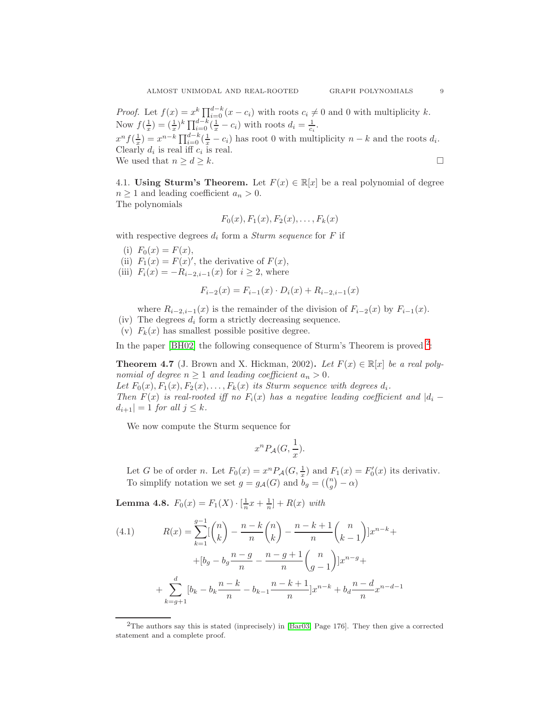*Proof.* Let  $f(x) = x^k \prod_{i=0}^{d-k} (x - c_i)$  with roots  $c_i \neq 0$  and 0 with multiplicity k. Now  $f(\frac{1}{x}) = (\frac{1}{x})^k \prod_{i=0}^{d-k} (\frac{1}{x} - c_i)$  with roots  $d_i = \frac{1}{c_i}$ .  $x^n f(\frac{1}{x}) = x^{n-k} \prod_{i=0}^{d-k} (\frac{1}{x} - c_i)$  has root 0 with multiplicity  $n - k$  and the roots  $d_i$ .

Clearly  $d_i$  is real iff  $c_i$  is real. We used that  $n \geq d \geq k$ .

$$
\Box
$$

<span id="page-8-0"></span>4.1. Using Sturm's Theorem. Let  $F(x) \in \mathbb{R}[x]$  be a real polynomial of degree  $n \geq 1$  and leading coefficient  $a_n > 0$ . The polynomials

$$
F_0(x), F_1(x), F_2(x), \ldots, F_k(x)
$$

with respective degrees  $d_i$  form a *Sturm sequence* for  $F$  if

- (i)  $F_0(x) = F(x),$
- (ii)  $F_1(x) = F(x)'$ , the derivative of  $F(x)$ ,
- (iii)  $F_i(x) = -R_{i-2,i-1}(x)$  for  $i \geq 2$ , where

$$
F_{i-2}(x) = F_{i-1}(x) \cdot D_i(x) + R_{i-2,i-1}(x)
$$

where  $R_{i-2,i-1}(x)$  is the remainder of the division of  $F_{i-2}(x)$  by  $F_{i-1}(x)$ .

- (iv) The degrees  $d_i$  form a strictly decreasing sequence.
- (v)  $F_k(x)$  has smallest possible positive degree.

In the paper [\[BH02\]](#page-10-16) the following consequence of Sturm's Theorem is proved  $2$ :

**Theorem 4.7** (J. Brown and X. Hickman, 2002). Let  $F(x) \in \mathbb{R}[x]$  be a real polynomial of degree  $n \geq 1$  and leading coefficient  $a_n > 0$ .

Let  $F_0(x)$ ,  $F_1(x)$ ,  $F_2(x)$ , ...,  $F_k(x)$  its Sturm sequence with degrees  $d_i$ . Then  $F(x)$  is real-rooted iff no  $F_i(x)$  has a negative leading coefficient and  $|d_i - d_i|$  $|d_{i+1}| = 1$  for all  $j \leq k$ .

We now compute the Sturm sequence for

$$
x^n P_{\mathcal{A}}(G, \frac{1}{x}).
$$

Let G be of order n. Let  $F_0(x) = x^n P_{\mathcal{A}}(G, \frac{1}{x})$  and  $F_1(x) = F'_0(x)$  its derivativ. To simplify notation we set  $g = g_{\mathcal{A}}(G)$  and  $b_g = \left(\binom{n}{g} - \alpha\right)$ 

**Lemma 4.8.**  $F_0(x) = F_1(X) \cdot \left[\frac{1}{n}x + \frac{1}{n}\right] + R(x)$  with

<span id="page-8-2"></span>(4.1) 
$$
R(x) = \sum_{k=1}^{g-1} \left[ \binom{n}{k} - \frac{n-k}{n} \binom{n}{k} - \frac{n-k+1}{n} \binom{n}{k-1} \right] x^{n-k} +
$$

$$
+ [b_g - b_g \frac{n-g}{n} - \frac{n-g+1}{n} \binom{n}{g-1} \Big] x^{n-g} +
$$

$$
+ \sum_{k=g+1}^{d} \left[ b_k - b_k \frac{n-k}{n} - b_{k-1} \frac{n-k+1}{n} \right] x^{n-k} + b_d \frac{n-d}{n} x^{n-d-1}
$$

<span id="page-8-1"></span><sup>2</sup>The authors say this is stated (inprecisely) in [\[Bar03,](#page-10-17) Page 176]. They then give a corrected statement and a complete proof.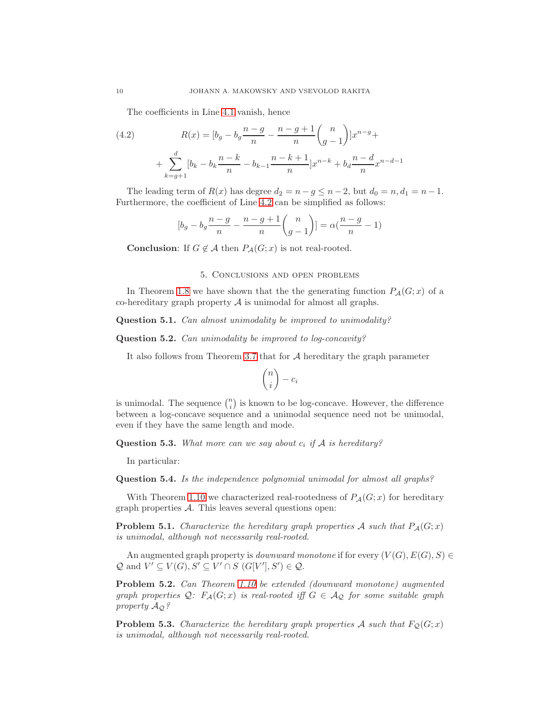The coefficients in Line [4.1](#page-8-2) vanish, hence

<span id="page-9-1"></span>(4.2) 
$$
R(x) = \left[b_g - b_g \frac{n-g}{n} - \frac{n-g+1}{n} \binom{n}{g-1} \right] x^{n-g} + \sum_{k=g+1}^d \left[b_k - b_k \frac{n-k}{n} - b_{k-1} \frac{n-k+1}{n} \right] x^{n-k} + b_d \frac{n-d}{n} x^{n-d-1}
$$

The leading term of  $R(x)$  has degree  $d_2 = n - g \leq n - 2$ , but  $d_0 = n, d_1 = n - 1$ . Furthermore, the coefficient of Line [4.2](#page-9-1) can be simplified as follows:

$$
[b_g - b_g \frac{n - g}{n} - \frac{n - g + 1}{n} {n \choose g - 1}] = \alpha (\frac{n - g}{n} - 1)
$$

<span id="page-9-0"></span>**Conclusion:** If  $G \notin \mathcal{A}$  then  $P_{\mathcal{A}}(G; x)$  is not real-rooted.

### 5. Conclusions and open problems

In Theorem [1.8](#page-3-1) we have shown that the the generating function  $P_{\mathcal{A}}(G; x)$  of a co-hereditary graph property  $A$  is unimodal for almost all graphs.

Question 5.1. Can almost unimodality be improved to unimodality?

Question 5.2. Can unimodality be improved to log-concavity?

It also follows from Theorem [3.7](#page-6-4) that for  $A$  hereditary the graph parameter

$$
\binom{n}{i} - c_i
$$

is unimodal. The sequence  $\binom{n}{i}$  is known to be log-concave. However, the difference between a log-concave sequence and a unimodal sequence need not be unimodal, even if they have the same length and mode.

**Question 5.3.** What more can we say about  $c_i$  if A is hereditary?

In particular:

Question 5.4. Is the independence polynomial unimodal for almost all graphs?

With Theorem [1.10](#page-4-3) we characterized real-rootedness of  $P_{\mathcal{A}}(G; x)$  for hereditary graph properties A. This leaves several questions open:

**Problem 5.1.** Characterize the hereditary graph properties A such that  $P_{\mathcal{A}}(G; x)$ is unimodal, although not necessarily real-rooted.

An augmented graph property is *downward monotone* if for every  $(V(G), E(G), S) \in$  $\mathcal{Q}$  and  $V' \subseteq V(G), S' \subseteq V' \cap S$   $(G[V'], S') \in \mathcal{Q}$ .

Problem 5.2. Can Theorem [1.10](#page-4-3) be extended (downward monotone) augmented graph properties  $Q: F_{\mathcal{A}}(G; x)$  is real-rooted iff  $G \in \mathcal{A}_{Q}$  for some suitable graph property  $A_{\mathcal{Q}}$ ?

**Problem 5.3.** Characterize the hereditary graph properties A such that  $F_Q(G; x)$ is unimodal, although not necessarily real-rooted.